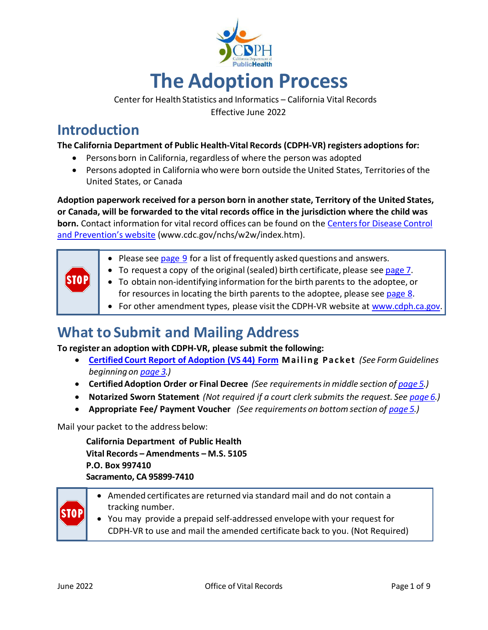

Center for Health Statistics and Informatics - California Vital Records Effective June 2022

# **Introduction**

#### **The California Department of Public Health-Vital Records (CDPH-VR) registers adoptions for:**

- Persons born in California, regardless of where the person was adopted
- Persons adopted in California who were born outside the United States, Territories of the United States, or Canada

**Adoption paperwork received for a person born in another state, Territory of the United States, or Canada, will be forwarded to the vital records office in the jurisdiction where the child was born.** Contact information for vital record offices can be found on the [Centersfor](https://www.cdc.gov/nchs/w2w/index.htm) Disease Control [and Prevention's website](https://www.cdc.gov/nchs/w2w/index.htm) [\(www.cdc.gov/nchs/w2w/index.htm\).](http://www.cdc.gov/nchs/w2w/index.htm))

| STOP | • Please see page 9 for a list of frequently asked questions and answers.<br>• To request a copy of the original (sealed) birth certificate, please see page 7.<br>• To obtain non-identifying information for the birth parents to the adoptee, or<br>for resources in locating the birth parents to the adoptee, please see page 8.<br>• For other amendment types, please visit the CDPH-VR website at www.cdph.ca.gov. |
|------|----------------------------------------------------------------------------------------------------------------------------------------------------------------------------------------------------------------------------------------------------------------------------------------------------------------------------------------------------------------------------------------------------------------------------|
|------|----------------------------------------------------------------------------------------------------------------------------------------------------------------------------------------------------------------------------------------------------------------------------------------------------------------------------------------------------------------------------------------------------------------------------|

# **What to Submit and Mailing Address**

**To register an adoption with CDPH-VR, please submit the following:**

- **[Certified Court Report of Adoption \(VS 44\) Form](https://ebrs-amend.calivrs.org/) M a i l i n g P a c k et** *(See Form Guidelines beginning on [page 3.\)](#page-2-0)*
- **Certified Adoption Order or Final Decree** *(See requirements in middle section of [page 5.](#page-4-0))*
- **Notarized Sworn Statement** *(Not required if a court clerk submits the request. See [page 6.\)](#page-5-0)*
- **Appropriate Fee/ Payment Voucher** *(See requirements on bottom section of [page 5.\)](#page-4-1)*

<span id="page-0-0"></span>Mail your packet to the address below:

**California Department of Public Health Vital Records – Amendments – M.S. 5105 P.O. Box 997410 Sacramento, CA 95899-7410** 

- Amended certificates are returned via standard mail and do not contain a tracking number.
	- You may provide a prepaid self-addressed envelope with your request for CDPH-VR to use and mail the amended certificate back to you. (Not Required)

TOH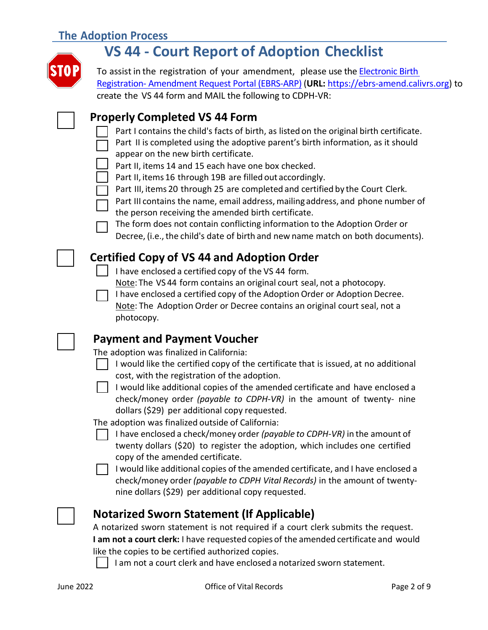# **The Adoption Process**



# **VS 44 - Court Report of Adoption Checklist**

To assist in the registration of your amendment, please use th[e Electronic Birth](https://ebrs-amend.calivrs.org/)  Registration- [Amendment Request Portal \(EBRS-ARP\)](https://ebrs-amend.calivrs.org/) (**URL:** [https://ebrs-amend.calivrs.org\)](https://ebrs-amend.calivrs.org/) to create the VS 44 form and MAIL the following to CDPH-VR:

## **Properly Completed VS 44 Form**

- Part I contains the child's facts of birth, as listed on the original birth certificate.
- Part II is completed using the adoptive parent's birth information, as it should appear on the new birth certificate.
- Part II, items 14 and 15 each have one box checked.
- Part II, items 16 through 19B are filled out accordingly.
- Part III, items 20 through 25 are completed and certified by the Court Clerk.
- Part III contains the name, email address, mailing address, and phone number of the person receiving the amended birth certificate.

The form does not contain conflicting information to the Adoption Order or Decree, (i.e., the child's date of birth and new name match on both documents).

# **Certified Copy of VS 44 and Adoption Order**

I have enclosed a certified copy of the VS 44 form.

Note: The VS 44 form contains an original court seal, not a photocopy.

I have enclosed a certified copy of the Adoption Order or Adoption Decree. Note: The Adoption Order or Decree contains an original court seal, not a photocopy.

## **Payment and Payment Voucher**

The adoption was finalized in California:

I would like the certified copy of the certificate that is issued, at no additional cost, with the registration of the adoption.

I would like additional copies of the amended certificate and have enclosed a check/money order *(payable to CDPH-VR)* in the amount of twenty- nine dollars (\$29) per additional copy requested.

The adoption was finalized outside of California:

I have enclosed a check/money order *(payable to CDPH-VR)* in the amount of twenty dollars (\$20) to register the adoption, which includes one certified copy of the amended certificate.

 $\Box$  I would like additional copies of the amended certificate, and I have enclosed a check/money order *(payable to CDPH Vital Records)* in the amount of twentynine dollars (\$29) per additional copy requested.

# **Notarized Sworn Statement (If Applicable)**

A notarized sworn statement is not required if a court clerk submits the request. **I am not a court clerk:** I have requested copies of the amended certificate and would like the copies to be certified authorized copies.

I am not a court clerk and have enclosed a notarized sworn statement.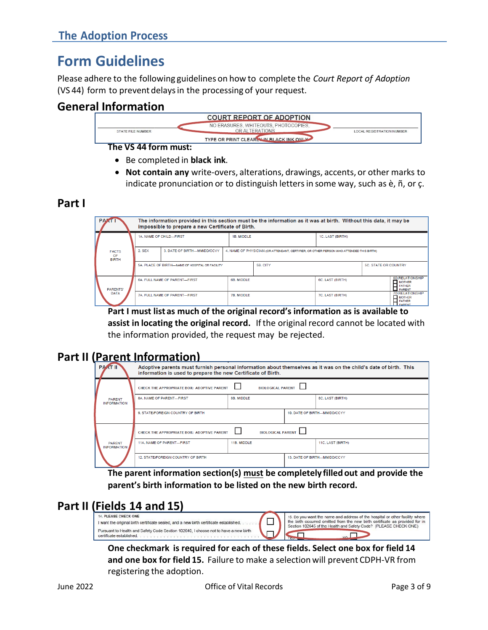# <span id="page-2-0"></span>**Form Guidelines**

Please adhere to the following guidelines on how to complete the *Court Report of Adoption*  (VS 44) form to prevent delays in the processing of your request.

# **General Information**



- Be completed in **black ink**.
- **Not contain any** write-overs, alterations, drawings, accents, or other marks to indicate pronunciation or to distinguish letters in some way, such as è, ñ, or ç.

### **Part I**



**Part I must list as much of the original record's information as is available to assist in locating the original record.** Ifthe originalrecord cannot be located with the information provided, the request may be rejected.

# **Part II (Parent Information)**

| <b>PARTII</b>                       | Adoptive parents must furnish personal information about themselves as it was on the child's date of birth. This<br>information is used to prepare the new Certificate of Birth. |                          |                              |                   |  |  |  |
|-------------------------------------|----------------------------------------------------------------------------------------------------------------------------------------------------------------------------------|--------------------------|------------------------------|-------------------|--|--|--|
|                                     | CHECK THE APPROPRIATE BOX: ADOPTIVE PARENT                                                                                                                                       | <b>BIOLOGICAL PARENT</b> |                              |                   |  |  |  |
| <b>PARENT</b><br><b>INFORMATION</b> | 8B. MIDDLE<br><b>8A. NAME OF PARENT-FIRST</b>                                                                                                                                    |                          |                              | 8C. LAST (BIRTH)  |  |  |  |
|                                     | 9. STATE/FOREIGN COUNTRY OF BIRTH.                                                                                                                                               |                          | 10. DATE OF BIRTH-MM/DD/CCYY |                   |  |  |  |
|                                     | CHECK THE APPROPRIATE BOX: ADOPTIVE PARENT                                                                                                                                       | <b>BIOLOGICAL PARENT</b> |                              |                   |  |  |  |
| <b>PARENT</b><br><b>INFORMATION</b> | 11A. NAME OF PARENT-FIRST                                                                                                                                                        | 11B. MIDDLE              |                              | 11C. LAST (BIRTH) |  |  |  |
|                                     | 12. STATE/FOREIGN COUNTRY OF BIRTH                                                                                                                                               |                          | 13. DATE OF BIRTH-MM/DD/CCYY |                   |  |  |  |

**The parent information section(s) must be completely filled out and provide the parent's birth information to be listed on the new birth record.**

# **Part II (Fields 14 and 15)**

| 14. PLEASE CHECK ONE<br>I want the original birth certificate sealed, and a new birth certificate established.<br>Pursuant to Health and Safety Code Section 102640. I choose not to have a new birth<br>certificate established | 15. Do you want the name and address of the hospital or other facility where<br>the birth occurred omitted from the new birth certificate as provided for in<br>Section 102645 of the Health and Safety Code? (PLEASE CHECK ONE) |
|----------------------------------------------------------------------------------------------------------------------------------------------------------------------------------------------------------------------------------|----------------------------------------------------------------------------------------------------------------------------------------------------------------------------------------------------------------------------------|
|----------------------------------------------------------------------------------------------------------------------------------------------------------------------------------------------------------------------------------|----------------------------------------------------------------------------------------------------------------------------------------------------------------------------------------------------------------------------------|

**One checkmark is required for each of these fields. Select one box for field 14 and one box for field 15.** Failure to make a selection will prevent CDPH-VR from registering the adoption.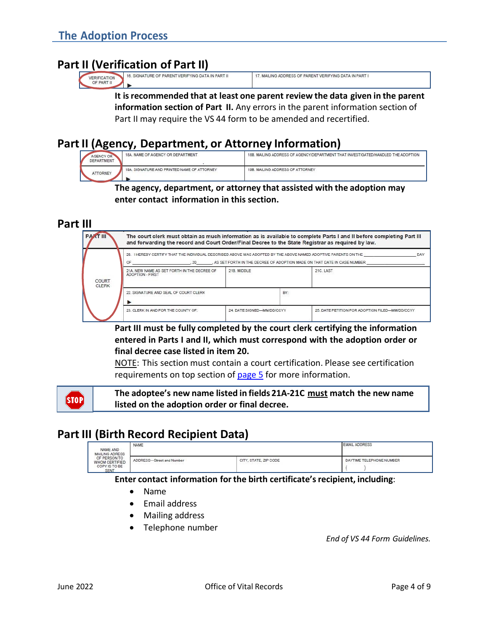## **Part II (Verification of Part II)**

| __<br><br>__<br>                                                                                                                                                                                   |                                                                                                                                                             |
|----------------------------------------------------------------------------------------------------------------------------------------------------------------------------------------------------|-------------------------------------------------------------------------------------------------------------------------------------------------------------|
| LING ADDRESS OF<br>DE PARENT<br>T VERIFYING D<br>TURE C<br>SIGNAL<br>이 사람이 잘 알려서 이번 아무리<br>- The management of the contract of the contract of the Contract of The Contract of the Contract of<br> | <b><i>TVERIFYING DATA</i></b><br>F PARENT<br>로서 hamps and starts had had the system has two starts and with DV PP PP. XX AT AT THE DVL WAR TO A TRACT A STA |

**It isrecommended that at least one parent review the data given in the parent information section of Part II.** Any errors in the parent information section of Part II may require the VS 44 form to be amended and recertified.

# **Part II (Agency, Department, or Attorney Information)**

| AGENCY OR<br>DEPARTMENT | 18A. NAME OF AGENCY OR DEPARTMENT           | 18B. MAILING ADDRESS OF AGENCY/DEPARTMENT THAT INVESTIGATED/HANDLED THE ADOPTION |
|-------------------------|---------------------------------------------|----------------------------------------------------------------------------------|
| <b>ATTORNEY</b>         | 19A. SIGNATURE AND PRINTED NAME OF ATTORNEY | 19B. MAILING ADDRESS OF ATTORNEY                                                 |

#### **The agency, department, or attorney that assisted with the adoption may enter contact information in this section.**

#### **Part III**



**Part III must be fully completed by the court clerk certifying the information entered in Parts I and II, which must correspond with the adoption order or final decree case listed in item 20.**

NOTE: This section must contain a court certification. Please see certification requirements on top section of [page 5](#page-4-1) for more information.

**The adoptee's new name listed in fields 21A-21C must match the new name listed on the adoption order or final decree.** 

## **Part III (Birth Record Recipient Data)**

| <b>PRODUCTION</b><br>NAME AND<br>MAILING ADRESS<br>OF PERSON TO<br>WHOM CERTIFIED<br>COPY IS TO BE<br>SENT | NAME<br>----              | <b>EMAIL ADDRESS</b><br>on and a complete the state of the complete |                          |  |
|------------------------------------------------------------------------------------------------------------|---------------------------|---------------------------------------------------------------------|--------------------------|--|
|                                                                                                            | ADDRESS-Street and Number | CITY, STATE, ZIP CODE<br>시설이나 일어나 화장 나는 사람이 어려워서 있었다.               | DAYTIME TELEPHONE NUMBER |  |

#### **Enter contact information forthe birth certificate'srecipient, including**:

- Name
- Email address
- Mailing address
- Telephone number

*End of VS 44 Form Guidelines.*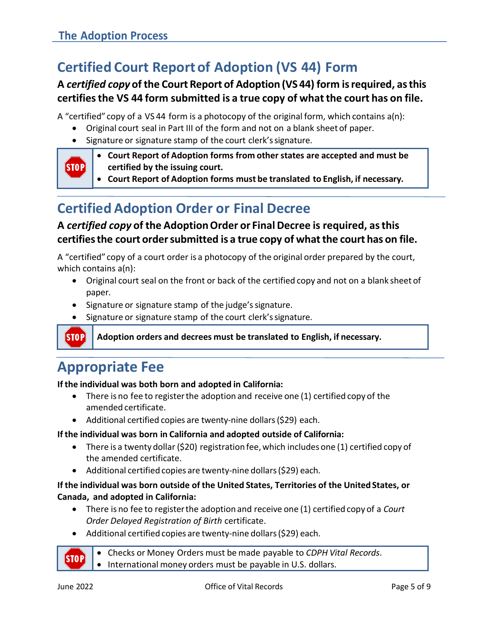# <span id="page-4-1"></span>**Certified Court Report of Adoption (VS 44) Form**

# <span id="page-4-0"></span>**A** *certified copy* **of the Court Report of Adoption (VS 44) form isrequired, asthis certifiesthe VS 44 form submitted is a true copy of whatthe court has on file.**

A "certified" copy of a VS 44 form is a photocopy of the original form, which contains a(n):

- Original court seal in Part III of the form and not on a blank sheet of paper.
- Signature or signature stamp of the court clerk'ssignature.



**STOP** 

- **Court Report of Adoption forms from other states are accepted and must be certified by the issuing court.**
- **Court Report of Adoption forms must be translated to English, if necessary.**

# **Certified Adoption Order or Final Decree**

## **A** *certified copy* **of the AdoptionOrder or FinalDecree is required, asthis certifiesthe court ordersubmitted is a true copy of whatthe court has on file.**

A "certified" copy of a court order is a photocopy of the original order prepared by the court, which contains a(n):

- Original court seal on the front or back of the certified copy and not on a blank sheet of paper.
- Signature or signature stamp of the judge's signature.
- Signature or signature stamp of the court clerk'ssignature.

#### **Adoption orders and decrees must be translated to English, if necessary.**

# **Appropriate Fee**

#### **If the individual was both born and adopted in California:**

- There is no fee to registerthe adoption and receive one (1) certified copy of the amended certificate.
- Additional certified copies are twenty-nine dollars(\$29) each.

#### **If the individual was born in California and adopted outside of California:**

- There is a twenty dollar (\$20) registration fee, which includes one (1) certified copy of the amended certificate.
- Additional certified copies are twenty-nine dollars(\$29) each.

#### **If the individual was born outside of the United States, Territories of the United States, or Canada, and adopted in California:**

- There is no fee to registerthe adoption and receive one (1) certified copy of a *Court Order Delayed Registration of Birth* certificate.
- Additional certified copies are twenty-nine dollars(\$29) each.

• Checks or Money Orders must be made payable to *CDPH Vital Records*. • International money orders must be payable in U.S. dollars.

STOP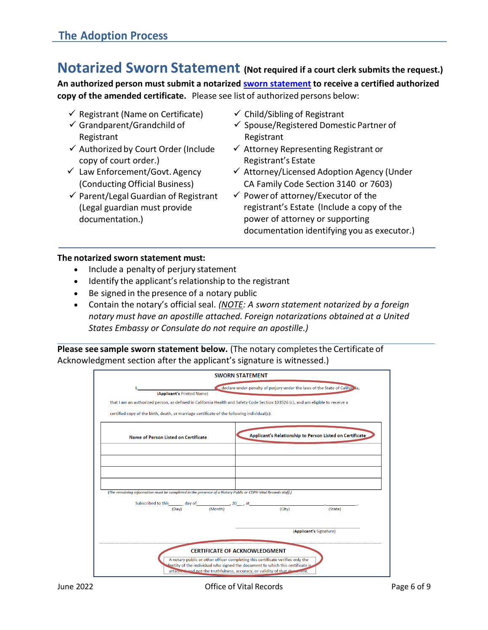# <span id="page-5-0"></span>**Notarized Sworn Statement (Not required if a court clerk submits the request.)**

**An authorized person must submit a notarized [sworn statement](https://www.cdph.ca.gov/Programs/CHSI/Pages/Sworn-Statement.aspx) to receive a certified authorized copy of the amended certificate.** Please see list of authorized persons below:

- $\checkmark$  Registrant (Name on Certificate)
- $\checkmark$  Grandparent/Grandchild of Registrant
- ✓ Authorized by Court Order (Include copy of court order.)
- $\checkmark$  Law Enforcement/Govt. Agency (Conducting Official Business)
- $\checkmark$  Parent/Legal Guardian of Registrant (Legal guardian must provide documentation.)
- $\checkmark$  Child/Sibling of Registrant
- ✓ Spouse/Registered Domestic Partner of Registrant
- $\checkmark$  Attorney Representing Registrant or Registrant's Estate
- ✓ Attorney/Licensed Adoption Agency (Under CA Family Code Section 3140 or 7603)
- $\checkmark$  Power of attorney/Executor of the registrant's Estate (Include a copy of the power of attorney or supporting documentation identifying you as executor.)

#### **The notarized sworn statement must:**

- Include a penalty of perjury statement
- Identify the applicant's relationship to the registrant
- Be signed in the presence of a notary public
- Contain the notary's official seal. *(NOTE: A sworn statement notarized by a foreign notary must have an apostille attached. Foreign notarizations obtained at a United States Embassy or Consulate do not require an apostille.)*

**Please see sample sworn statement below.** (The notary completesthe Certificate of Acknowledgment section after the applicant's signature is witnessed.)

|                                                                                                                                                                                                                                                   | <b>SWORN STATEMENT</b>                                                      |  |  |  |  |
|---------------------------------------------------------------------------------------------------------------------------------------------------------------------------------------------------------------------------------------------------|-----------------------------------------------------------------------------|--|--|--|--|
|                                                                                                                                                                                                                                                   | declare under penalty of perjury under the laws of the State of California, |  |  |  |  |
| (Applicant's Printed Name)                                                                                                                                                                                                                        |                                                                             |  |  |  |  |
| that I am an authorized person, as defined in California Health and Safety Code Section 103526 (c), and am eligible to receive a                                                                                                                  |                                                                             |  |  |  |  |
| certified copy of the birth, death, or marriage certificate of the following individual(s):                                                                                                                                                       |                                                                             |  |  |  |  |
| Name of Person Listed on Certificate                                                                                                                                                                                                              | Applicant's Relationship to Person Listed on Certificate                    |  |  |  |  |
|                                                                                                                                                                                                                                                   |                                                                             |  |  |  |  |
|                                                                                                                                                                                                                                                   |                                                                             |  |  |  |  |
| (The remaining information must be completed in the presence of a Notary Public or CDPH Vital Records staff.)                                                                                                                                     |                                                                             |  |  |  |  |
| Subscribed to this $\frac{1}{(Day)}$ day of $\frac{1}{(Month)}$ 20 at $\frac{1}{(City)}$                                                                                                                                                          | (State)                                                                     |  |  |  |  |
|                                                                                                                                                                                                                                                   | (Applicant's Signature)                                                     |  |  |  |  |
|                                                                                                                                                                                                                                                   | <b>CERTIFICATE OF ACKNOWLEDGMENT</b>                                        |  |  |  |  |
| A notary public or other officer completing this certificate verifies only the<br>sentity of the individual who signed the document to which this certificate is.<br>attacned, and not the truthfulness, accuracy, or validity of that decomment. |                                                                             |  |  |  |  |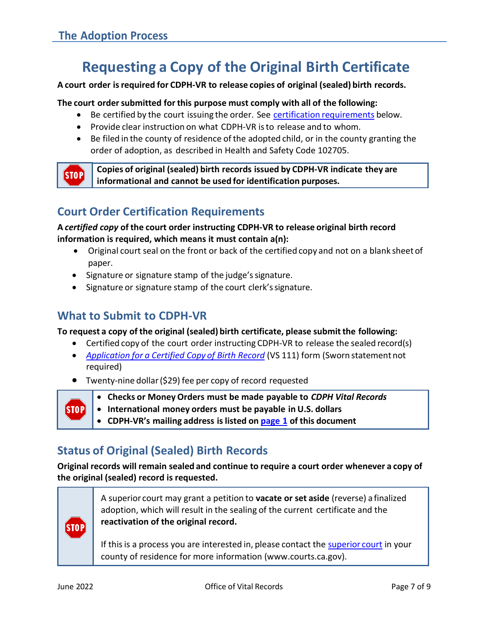**STOP** 

# **Requesting a Copy of the Original Birth Certificate**

#### <span id="page-6-0"></span>**A court order isrequired for CDPH-VR to release copies of original (sealed) birth records.**

#### **The court ordersubmitted for this purpose must comply with all of the following:**

- Be certified by the court issuing the order. See certification [requirements](#page-6-1) below.
- Provide clear instruction on what CDPH-VR isto release and to whom.
- Be filed in the county of residence of the adopted child, or in the county granting the order of adoption, as described in Health and Safety Code 102705.

**Copies of original (sealed) birth records issued by CDPH-VR indicate they are informational and cannot be used for identification purposes.** 

# <span id="page-6-1"></span>**Court Order Certification Requirements**

**A** *certified copy* **of the court order instructing CDPH-VR to release original birth record information is required, which means it must contain a(n):**

- Original court seal on the front or back of the certified copy and not on a blank sheet of paper.
- Signature or signature stamp of the judge's signature.
- Signature or signature stamp of the court clerk'ssignature.

# **What to Submit to CDPH-VR**

**To request a copy of the original (sealed) birth certificate, please submit the following:**

- Certified copy of the court order instructing CDPH-VR to release the sealed record(s)
- *Application for a [Certified Copy](https://www.cdph.ca.gov/CDPH%20Document%20Library/ControlledForms/VS111.pdf) of Birth Record* (VS 111) form (Sworn statementnot required)
- Twenty-nine dollar(\$29) fee per copy of record requested
	- **Checks or Money Orders must be made payable to** *CDPH Vital Records*
	- **International money orders must be payable in U.S. dollars** 
		- **CDPH-VR's mailing address is listed on [page 1](#page-0-0) of this document**

# **Status of Original (Sealed) Birth Records**

**Original records will remain sealed and continue to require a court order whenever a copy of the original (sealed) record is requested.**



 $|SIOP|$ 

A superior court may grant a petition to **vacate or set aside** (reverse) a finalized adoption, which will result in the sealing of the current certificate and the **reactivation of the original record.** 

If this is a process you are interested in, please contact the [superior court](http://www.courts.ca.gov/) in your county of residence for more information (www.courts.ca.gov).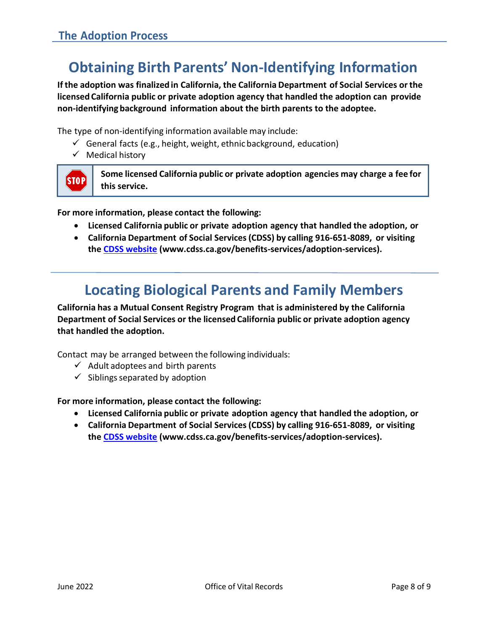# **Obtaining Birth Parents' Non-Identifying Information**

<span id="page-7-0"></span>**If the adoption was finalizedin California, the California Department of Social Services orthe licensed California public or private adoption agency that handled the adoption can provide non-identifying background information about the birth parents to the adoptee.**

The type of non-identifying information available may include:

- $\checkmark$  General facts (e.g., height, weight, ethnic background, education)
- ✓ Medical history



**Some licensed California public or private adoption agencies may charge a fee for this service.** 

**For more information, please contact the following:**

- **Licensed California public or private adoption agency that handled the adoption, or**
- **California Department of Social Services(CDSS) by calling 916-651-8089, or visiting the [CDSS website](https://www.cdss.ca.gov/adoption-services/adoptee-information/adoptee-background) [\(www.cdss.ca.gov/benefits-services/adoption-services\).](http://www.cdss.ca.gov/benefits-services/adoption-services))**

# **Locating Biological Parents and Family Members**

**California has a Mutual Consent Registry Program that is administered by the California Department of Social Services or the licensed California public or private adoption agency that handled the adoption.**

Contact may be arranged between the following individuals:

- $\checkmark$  Adult adoptees and birth parents
- $\checkmark$  Siblings separated by adoption

#### **For more information, please contact the following:**

- **Licensed California public or private adoption agency that handled the adoption, or**
- **California Department of Social Services(CDSS) by calling 916-651-8089, or visiting the [CDSS website](https://www.cdss.ca.gov/adoption-services/adoptee-information/adoptee-background) [\(www.cdss.ca.gov/benefits-services/adoption-services\).](http://www.cdss.ca.gov/benefits-services/adoption-services))**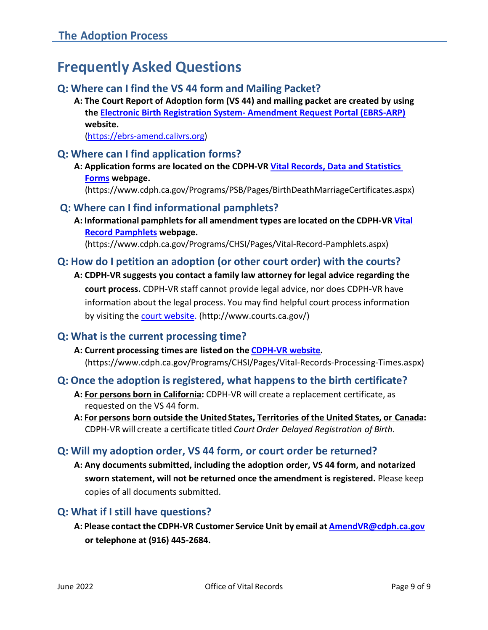# <span id="page-8-0"></span>**Frequently Asked Questions**

## **Q: Where can I find the VS 44 form and Mailing Packet?**

**A: The Court Report of Adoption form (VS 44) and mailing packet are created by using the Electronic Birth Registration System- [Amendment Request Portal \(EBRS-ARP\)](https://ebrs-amend.calivrs.org/) website.** 

[\(https://ebrs-amend.calivrs.org\)](https://ebrs-amend.calivrs.org/)

### **Q: Where can I find application forms?**

**A: Application forms are located on the CDPH-VR [Vital Records, Data and Statistics](https://www.cdph.ca.gov/Programs/PSB/Pages/BirthDeathMarriageCertificates.aspx)  [Forms](https://www.cdph.ca.gov/Programs/PSB/Pages/BirthDeathMarriageCertificates.aspx) webpage.** 

(https:/[/www.cdph.ca.gov/Programs/PSB/Pages/BirthDeathMarriageCertificates.aspx\)](http://www.cdph.ca.gov/Programs/PSB/Pages/BirthDeathMarriageCertificates.aspx))

#### **Q: Where can I find informational pamphlets?**

**A: Informational pamphlets for all amendment types are located on the CDPH-VR [Vital](https://www.cdph.ca.gov/Programs/CHSI/Pages/Vital-Record-Pamphlets.aspx)  [Record Pamphlets w](https://www.cdph.ca.gov/Programs/CHSI/Pages/Vital-Record-Pamphlets.aspx)ebpage.** 

(https:/[/www.cdph.ca.gov/Programs/CHSI/Pages/Vital-Record-Pamphlets.aspx\)](http://www.cdph.ca.gov/Programs/CHSI/Pages/Vital-Record-Pamphlets.aspx))

## **Q: How do I petition an adoption (or other court order) with the courts?**

**A: CDPH-VR suggests you contact a family law attorney for legal advice regarding the court process.** CDPH-VR staff cannot provide legal advice, nor does CDPH-VR have information about the legal process. You may find helpful court process information by visiting the [court website.](http://www.courts.ca.gov/) [\(http://www.courts.ca.gov/\)](http://www.courts.ca.gov/)) 

## **Q: What is the current processing time?**

#### **A: Current processing times are listed on the [CDPH-VR](https://www.cdph.ca.gov/Programs/CHSI/Pages/Vital-Records-Processing-Times.aspx) website.** (https:/[/www.cdph.ca.gov/Programs/CHSI/Pages/Vital-R](http://www.cdph.ca.gov/Programs/CHSI/Pages/Vital)ecords-Processing-Times.aspx)

## **Q: Once the adoption is registered, what happens to the birth certificate?**

- **A: For persons born in California:** CDPH-VR will create a replacement certificate, as requested on the VS 44 form.
- **A: For persons born outside the United States, Territories of the United States, or Canada:**  CDPH-VR will create a certificate titled *Court Order Delayed Registration of Birth*.

## **Q: Will my adoption order, VS 44 form, or court order be returned?**

**A: Any documents submitted, including the adoption order, VS 44 form, and notarized sworn statement, will not be returned once the amendment is registered.** Please keep copies of all documents submitted.

## **Q: What if I still have questions?**

**A: Please contact the CDPH-VR Customer Service Unit by email at [AmendVR@cdph.ca.gov](mailto:AmendVR@cdph.ca.gov) or telephone at (916) 445-2684.**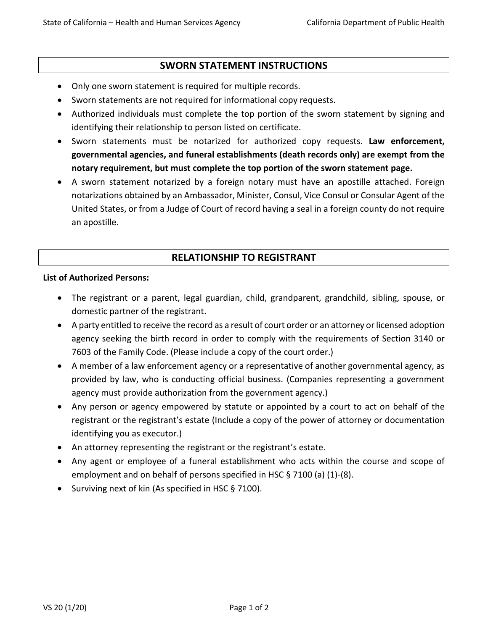#### **SWORN STATEMENT INSTRUCTIONS**

- Only one sworn statement is required for multiple records.
- Sworn statements are not required for informational copy requests.
- Authorized individuals must complete the top portion of the sworn statement by signing and identifying their relationship to person listed on certificate.
- Sworn statements must be notarized for authorized copy requests. **Law enforcement, governmental agencies, and funeral establishments (death records only) are exempt from the notary requirement, but must complete the top portion of the sworn statement page.**
- A sworn statement notarized by a foreign notary must have an apostille attached. Foreign notarizations obtained by an Ambassador, Minister, Consul, Vice Consul or Consular Agent of the United States, or from a Judge of Court of record having a seal in a foreign county do not require an apostille.

#### **RELATIONSHIP TO REGISTRANT**

#### **List of Authorized Persons:**

- The registrant or a parent, legal guardian, child, grandparent, grandchild, sibling, spouse, or domestic partner of the registrant.
- A party entitled to receive the record as a result of court order or an attorney or licensed adoption agency seeking the birth record in order to comply with the requirements of Section 3140 or 7603 of the Family Code. (Please include a copy of the court order.)
- A member of a law enforcement agency or a representative of another governmental agency, as provided by law, who is conducting official business. (Companies representing a government agency must provide authorization from the government agency.)
- Any person or agency empowered by statute or appointed by a court to act on behalf of the registrant or the registrant's estate (Include a copy of the power of attorney or documentation identifying you as executor.)
- An attorney representing the registrant or the registrant's estate.
- Any agent or employee of a funeral establishment who acts within the course and scope of employment and on behalf of persons specified in HSC § 7100 (a) (1)-(8).
- Surviving next of kin (As specified in HSC § 7100).